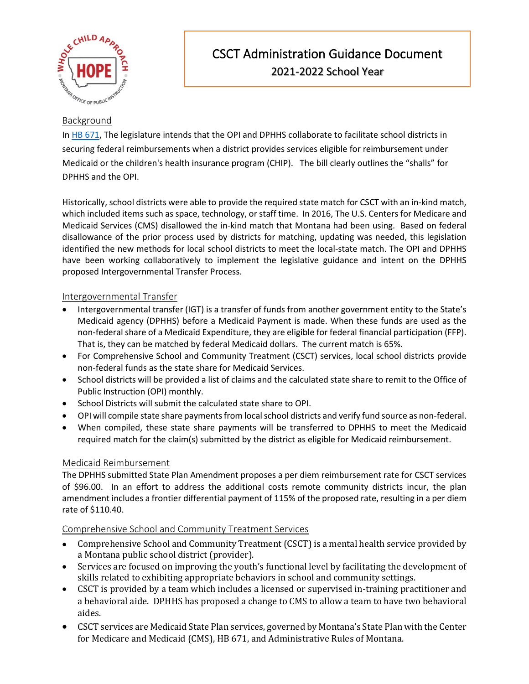

# CSCT Administration Guidance Document 2021-2022 School Year

### Background

In [HB 671,](https://leg.mt.gov/bills/2021/HB0699/HB0671_X.pdf) The legislature intends that the OPI and DPHHS collaborate to facilitate school districts in securing federal reimbursements when a district provides services eligible for reimbursement under Medicaid or the children's health insurance program (CHIP). The bill clearly outlines the "shalls" for DPHHS and the OPI.

Historically, school districts were able to provide the required state match for CSCT with an in-kind match, which included items such as space, technology, or staff time. In 2016, The U.S. Centers for Medicare and Medicaid Services (CMS) disallowed the in-kind match that Montana had been using. Based on federal disallowance of the prior process used by districts for matching, updating was needed, this legislation identified the new methods for local school districts to meet the local-state match. The OPI and DPHHS have been working collaboratively to implement the legislative guidance and intent on the DPHHS proposed Intergovernmental Transfer Process.

#### Intergovernmental Transfer

- Intergovernmental transfer (IGT) is a transfer of funds from another government entity to the State's Medicaid agency (DPHHS) before a Medicaid Payment is made. When these funds are used as the non-federal share of a Medicaid Expenditure, they are eligible for federal financial participation (FFP). That is, they can be matched by federal Medicaid dollars. The current match is 65%.
- For Comprehensive School and Community Treatment (CSCT) services, local school districts provide non-federal funds as the state share for Medicaid Services.
- School districts will be provided a list of claims and the calculated state share to remit to the Office of Public Instruction (OPI) monthly.
- School Districts will submit the calculated state share to OPI.
- OPI will compile state share payments from local school districts and verify fund source as non-federal.
- When compiled, these state share payments will be transferred to DPHHS to meet the Medicaid required match for the claim(s) submitted by the district as eligible for Medicaid reimbursement.

### Medicaid Reimbursement

The DPHHS submitted State Plan Amendment proposes a per diem reimbursement rate for CSCT services of \$96.00. In an effort to address the additional costs remote community districts incur, the plan amendment includes a frontier differential payment of 115% of the proposed rate, resulting in a per diem rate of \$110.40.

#### Comprehensive School and Community Treatment Services

- Comprehensive School and Community Treatment (CSCT) is a mental health service provided by a Montana public school district (provider).
- Services are focused on improving the youth's functional level by facilitating the development of skills related to exhibiting appropriate behaviors in school and community settings.
- CSCT is provided by a team which includes a licensed or supervised in-training practitioner and a behavioral aide. DPHHS has proposed a change to CMS to allow a team to have two behavioral aides.
- CSCT services are Medicaid State Plan services, governed by Montana's State Plan with the Center for Medicare and Medicaid (CMS), HB 671, and Administrative Rules of Montana.